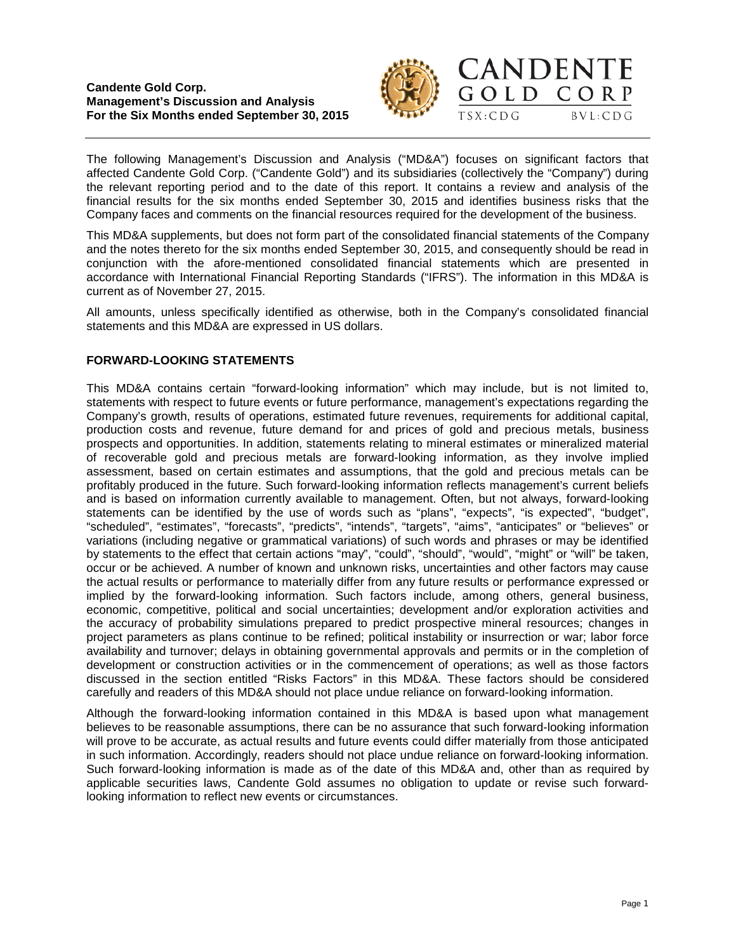



The following Management's Discussion and Analysis ("MD&A") focuses on significant factors that affected Candente Gold Corp. ("Candente Gold") and its subsidiaries (collectively the "Company") during the relevant reporting period and to the date of this report. It contains a review and analysis of the financial results for the six months ended September 30, 2015 and identifies business risks that the Company faces and comments on the financial resources required for the development of the business.

This MD&A supplements, but does not form part of the consolidated financial statements of the Company and the notes thereto for the six months ended September 30, 2015, and consequently should be read in conjunction with the afore-mentioned consolidated financial statements which are presented in accordance with International Financial Reporting Standards ("IFRS"). The information in this MD&A is current as of November 27, 2015.

All amounts, unless specifically identified as otherwise, both in the Company's consolidated financial statements and this MD&A are expressed in US dollars.

# **FORWARD-LOOKING STATEMENTS**

This MD&A contains certain "forward-looking information" which may include, but is not limited to, statements with respect to future events or future performance, management's expectations regarding the Company's growth, results of operations, estimated future revenues, requirements for additional capital, production costs and revenue, future demand for and prices of gold and precious metals, business prospects and opportunities. In addition, statements relating to mineral estimates or mineralized material of recoverable gold and precious metals are forward-looking information, as they involve implied assessment, based on certain estimates and assumptions, that the gold and precious metals can be profitably produced in the future. Such forward-looking information reflects management's current beliefs and is based on information currently available to management. Often, but not always, forward-looking statements can be identified by the use of words such as "plans", "expects", "is expected", "budget", "scheduled", "estimates", "forecasts", "predicts", "intends", "targets", "aims", "anticipates" or "believes" or variations (including negative or grammatical variations) of such words and phrases or may be identified by statements to the effect that certain actions "may", "could", "should", "would", "might" or "will" be taken, occur or be achieved. A number of known and unknown risks, uncertainties and other factors may cause the actual results or performance to materially differ from any future results or performance expressed or implied by the forward-looking information. Such factors include, among others, general business, economic, competitive, political and social uncertainties; development and/or exploration activities and the accuracy of probability simulations prepared to predict prospective mineral resources; changes in project parameters as plans continue to be refined; political instability or insurrection or war; labor force availability and turnover; delays in obtaining governmental approvals and permits or in the completion of development or construction activities or in the commencement of operations; as well as those factors discussed in the section entitled "Risks Factors" in this MD&A. These factors should be considered carefully and readers of this MD&A should not place undue reliance on forward-looking information.

Although the forward-looking information contained in this MD&A is based upon what management believes to be reasonable assumptions, there can be no assurance that such forward-looking information will prove to be accurate, as actual results and future events could differ materially from those anticipated in such information. Accordingly, readers should not place undue reliance on forward-looking information. Such forward-looking information is made as of the date of this MD&A and, other than as required by applicable securities laws, Candente Gold assumes no obligation to update or revise such forwardlooking information to reflect new events or circumstances.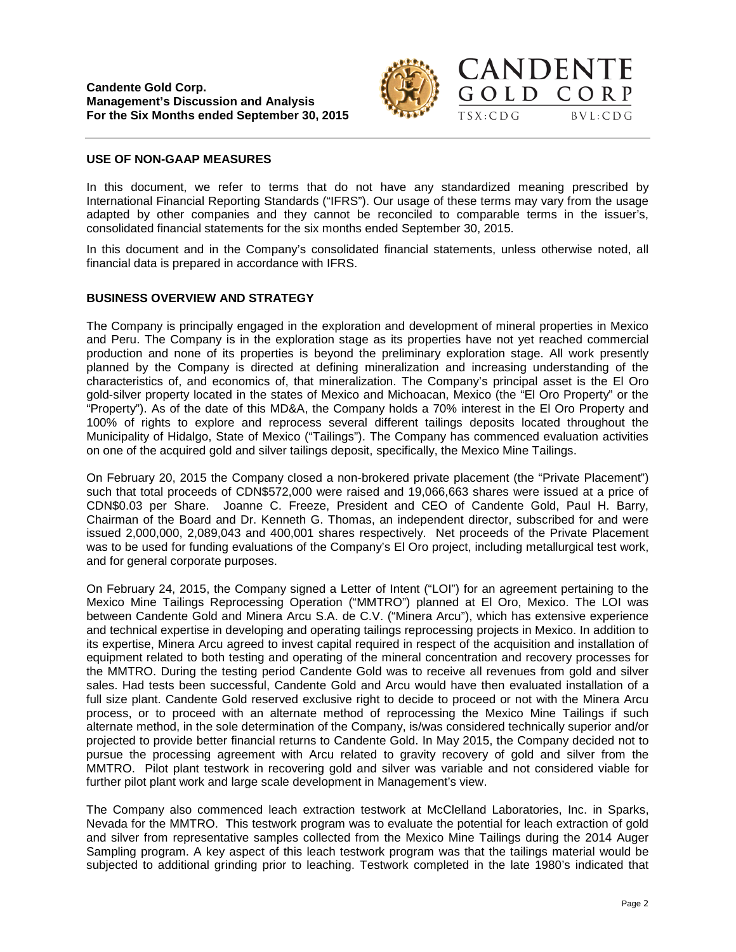



# **USE OF NON-GAAP MEASURES**

In this document, we refer to terms that do not have any standardized meaning prescribed by International Financial Reporting Standards ("IFRS"). Our usage of these terms may vary from the usage adapted by other companies and they cannot be reconciled to comparable terms in the issuer's, consolidated financial statements for the six months ended September 30, 2015.

In this document and in the Company's consolidated financial statements, unless otherwise noted, all financial data is prepared in accordance with IFRS.

# **BUSINESS OVERVIEW AND STRATEGY**

The Company is principally engaged in the exploration and development of mineral properties in Mexico and Peru. The Company is in the exploration stage as its properties have not yet reached commercial production and none of its properties is beyond the preliminary exploration stage. All work presently planned by the Company is directed at defining mineralization and increasing understanding of the characteristics of, and economics of, that mineralization. The Company's principal asset is the El Oro gold-silver property located in the states of Mexico and Michoacan, Mexico (the "El Oro Property" or the "Property"). As of the date of this MD&A, the Company holds a 70% interest in the El Oro Property and 100% of rights to explore and reprocess several different tailings deposits located throughout the Municipality of Hidalgo, State of Mexico ("Tailings"). The Company has commenced evaluation activities on one of the acquired gold and silver tailings deposit, specifically, the Mexico Mine Tailings.

On February 20, 2015 the Company closed a non-brokered private placement (the "Private Placement") such that total proceeds of CDN\$572,000 were raised and 19,066,663 shares were issued at a price of CDN\$0.03 per Share. Joanne C. Freeze, President and CEO of Candente Gold, Paul H. Barry, Chairman of the Board and Dr. Kenneth G. Thomas, an independent director, subscribed for and were issued 2,000,000, 2,089,043 and 400,001 shares respectively. Net proceeds of the Private Placement was to be used for funding evaluations of the Company's El Oro project, including metallurgical test work, and for general corporate purposes.

On February 24, 2015, the Company signed a Letter of Intent ("LOI") for an agreement pertaining to the Mexico Mine Tailings Reprocessing Operation ("MMTRO") planned at El Oro, Mexico. The LOI was between Candente Gold and Minera Arcu S.A. de C.V. ("Minera Arcu"), which has extensive experience and technical expertise in developing and operating tailings reprocessing projects in Mexico. In addition to its expertise, Minera Arcu agreed to invest capital required in respect of the acquisition and installation of equipment related to both testing and operating of the mineral concentration and recovery processes for the MMTRO. During the testing period Candente Gold was to receive all revenues from gold and silver sales. Had tests been successful, Candente Gold and Arcu would have then evaluated installation of a full size plant. Candente Gold reserved exclusive right to decide to proceed or not with the Minera Arcu process, or to proceed with an alternate method of reprocessing the Mexico Mine Tailings if such alternate method, in the sole determination of the Company, is/was considered technically superior and/or projected to provide better financial returns to Candente Gold. In May 2015, the Company decided not to pursue the processing agreement with Arcu related to gravity recovery of gold and silver from the MMTRO. Pilot plant testwork in recovering gold and silver was variable and not considered viable for further pilot plant work and large scale development in Management's view.

The Company also commenced leach extraction testwork at McClelland Laboratories, Inc. in Sparks, Nevada for the MMTRO. This testwork program was to evaluate the potential for leach extraction of gold and silver from representative samples collected from the Mexico Mine Tailings during the 2014 Auger Sampling program. A key aspect of this leach testwork program was that the tailings material would be subjected to additional grinding prior to leaching. Testwork completed in the late 1980's indicated that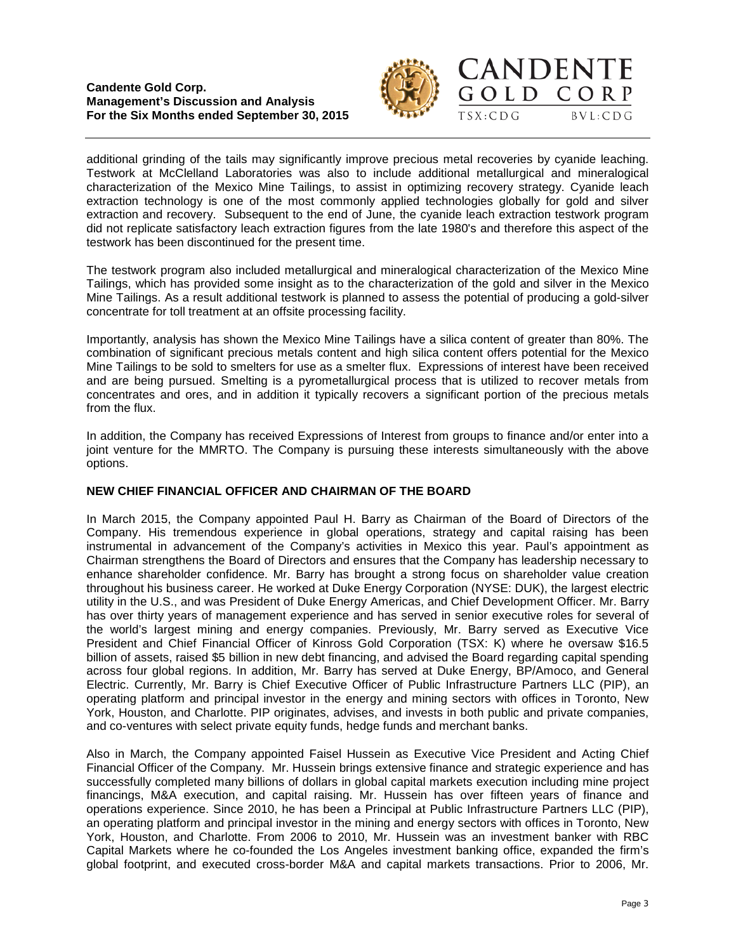



additional grinding of the tails may significantly improve precious metal recoveries by cyanide leaching. Testwork at McClelland Laboratories was also to include additional metallurgical and mineralogical characterization of the Mexico Mine Tailings, to assist in optimizing recovery strategy. Cyanide leach extraction technology is one of the most commonly applied technologies globally for gold and silver extraction and recovery. Subsequent to the end of June, the cyanide leach extraction testwork program did not replicate satisfactory leach extraction figures from the late 1980's and therefore this aspect of the testwork has been discontinued for the present time.

The testwork program also included metallurgical and mineralogical characterization of the Mexico Mine Tailings, which has provided some insight as to the characterization of the gold and silver in the Mexico Mine Tailings. As a result additional testwork is planned to assess the potential of producing a gold-silver concentrate for toll treatment at an offsite processing facility.

Importantly, analysis has shown the Mexico Mine Tailings have a silica content of greater than 80%. The combination of significant precious metals content and high silica content offers potential for the Mexico Mine Tailings to be sold to smelters for use as a smelter flux. Expressions of interest have been received and are being pursued. Smelting is a pyrometallurgical process that is utilized to recover metals from concentrates and ores, and in addition it typically recovers a significant portion of the precious metals from the flux.

In addition, the Company has received Expressions of Interest from groups to finance and/or enter into a joint venture for the MMRTO. The Company is pursuing these interests simultaneously with the above options.

# **NEW CHIEF FINANCIAL OFFICER AND CHAIRMAN OF THE BOARD**

In March 2015, the Company appointed Paul H. Barry as Chairman of the Board of Directors of the Company. His tremendous experience in global operations, strategy and capital raising has been instrumental in advancement of the Company's activities in Mexico this year. Paul's appointment as Chairman strengthens the Board of Directors and ensures that the Company has leadership necessary to enhance shareholder confidence. Mr. Barry has brought a strong focus on shareholder value creation throughout his business career. He worked at Duke Energy Corporation (NYSE: DUK), the largest electric utility in the U.S., and was President of Duke Energy Americas, and Chief Development Officer. Mr. Barry has over thirty years of management experience and has served in senior executive roles for several of the world's largest mining and energy companies. Previously, Mr. Barry served as Executive Vice President and Chief Financial Officer of Kinross Gold Corporation (TSX: K) where he oversaw \$16.5 billion of assets, raised \$5 billion in new debt financing, and advised the Board regarding capital spending across four global regions. In addition, Mr. Barry has served at Duke Energy, BP/Amoco, and General Electric. Currently, Mr. Barry is Chief Executive Officer of Public Infrastructure Partners LLC (PIP), an operating platform and principal investor in the energy and mining sectors with offices in Toronto, New York, Houston, and Charlotte. PIP originates, advises, and invests in both public and private companies, and co-ventures with select private equity funds, hedge funds and merchant banks.

Also in March, the Company appointed Faisel Hussein as Executive Vice President and Acting Chief Financial Officer of the Company. Mr. Hussein brings extensive finance and strategic experience and has successfully completed many billions of dollars in global capital markets execution including mine project financings, M&A execution, and capital raising. Mr. Hussein has over fifteen years of finance and operations experience. Since 2010, he has been a Principal at Public Infrastructure Partners LLC (PIP), an operating platform and principal investor in the mining and energy sectors with offices in Toronto, New York, Houston, and Charlotte. From 2006 to 2010, Mr. Hussein was an investment banker with RBC Capital Markets where he co-founded the Los Angeles investment banking office, expanded the firm's global footprint, and executed cross-border M&A and capital markets transactions. Prior to 2006, Mr.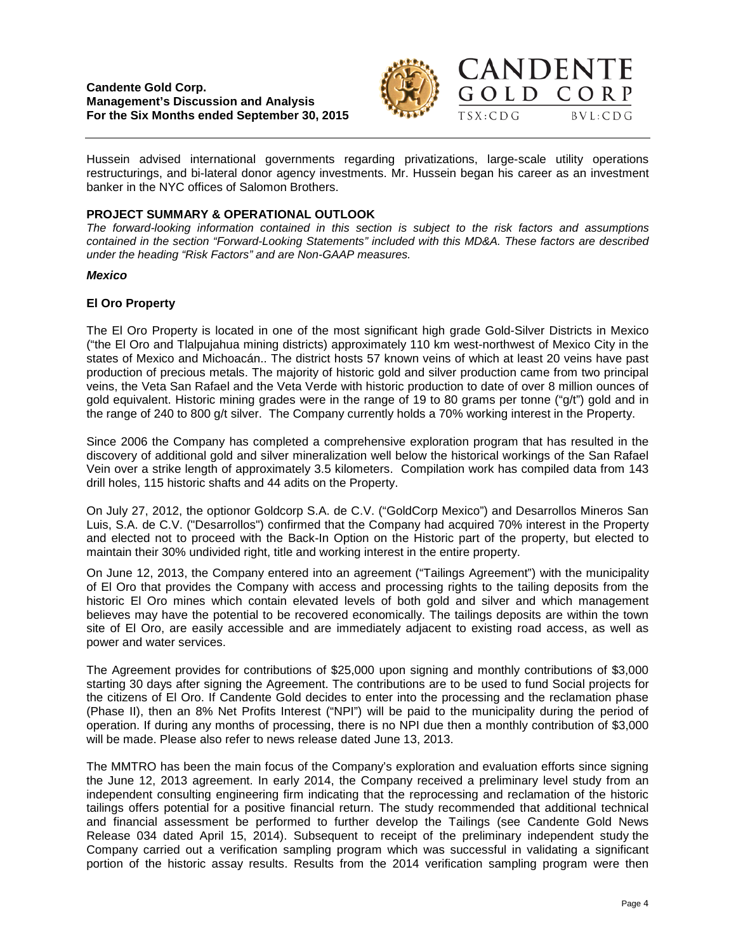

Hussein advised international governments regarding privatizations, large-scale utility operations restructurings, and bi-lateral donor agency investments. Mr. Hussein began his career as an investment banker in the NYC offices of Salomon Brothers.

# **PROJECT SUMMARY & OPERATIONAL OUTLOOK**

*The forward-looking information contained in this section is subject to the risk factors and assumptions contained in the section "Forward-Looking Statements" included with this MD&A. These factors are described under the heading "Risk Factors" and are Non-GAAP measures.*

## *Mexico*

# **El Oro Property**

The El Oro Property is located in one of the most significant high grade Gold-Silver Districts in Mexico ("the El Oro and Tlalpujahua mining districts) approximately 110 km west-northwest of Mexico City in the states of Mexico and Michoacán.. The district hosts 57 known veins of which at least 20 veins have past production of precious metals. The majority of historic gold and silver production came from two principal veins, the Veta San Rafael and the Veta Verde with historic production to date of over 8 million ounces of gold equivalent. Historic mining grades were in the range of 19 to 80 grams per tonne ("g/t") gold and in the range of 240 to 800 g/t silver. The Company currently holds a 70% working interest in the Property.

Since 2006 the Company has completed a comprehensive exploration program that has resulted in the discovery of additional gold and silver mineralization well below the historical workings of the San Rafael Vein over a strike length of approximately 3.5 kilometers. Compilation work has compiled data from 143 drill holes, 115 historic shafts and 44 adits on the Property.

On July 27, 2012, the optionor Goldcorp S.A. de C.V. ("GoldCorp Mexico") and Desarrollos Mineros San Luis, S.A. de C.V. ("Desarrollos") confirmed that the Company had acquired 70% interest in the Property and elected not to proceed with the Back-In Option on the Historic part of the property, but elected to maintain their 30% undivided right, title and working interest in the entire property.

On June 12, 2013, the Company entered into an agreement ("Tailings Agreement") with the municipality of El Oro that provides the Company with access and processing rights to the tailing deposits from the historic El Oro mines which contain elevated levels of both gold and silver and which management believes may have the potential to be recovered economically. The tailings deposits are within the town site of El Oro, are easily accessible and are immediately adjacent to existing road access, as well as power and water services.

The Agreement provides for contributions of \$25,000 upon signing and monthly contributions of \$3,000 starting 30 days after signing the Agreement. The contributions are to be used to fund Social projects for the citizens of El Oro. If Candente Gold decides to enter into the processing and the reclamation phase (Phase II), then an 8% Net Profits Interest ("NPI") will be paid to the municipality during the period of operation. If during any months of processing, there is no NPI due then a monthly contribution of \$3,000 will be made. Please also refer to news release dated June 13, 2013.

The MMTRO has been the main focus of the Company's exploration and evaluation efforts since signing the June 12, 2013 agreement. In early 2014, the Company received a preliminary level study from an independent consulting engineering firm indicating that the reprocessing and reclamation of the historic tailings offers potential for a positive financial return. The study recommended that additional technical and financial assessment be performed to further develop the Tailings (see Candente Gold News Release 034 dated April 15, 2014). Subsequent to receipt of the preliminary independent study the Company carried out a verification sampling program which was successful in validating a significant portion of the historic assay results. Results from the 2014 verification sampling program were then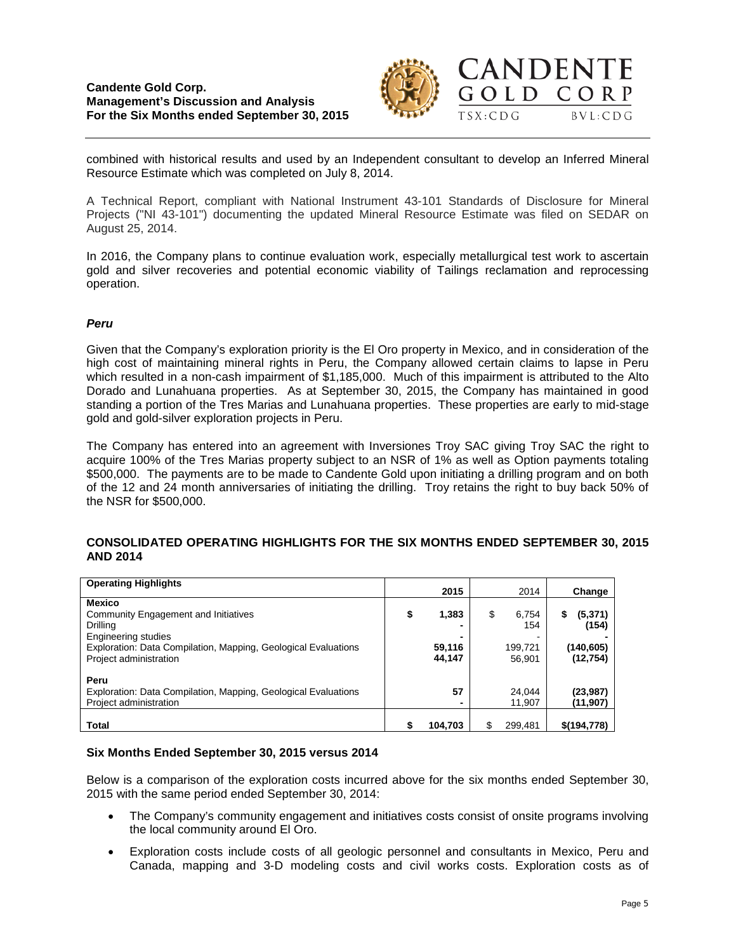# **Candente Gold Corp. Management's Discussion and Analysis For the Six Months ended September 30, 2015**



combined with historical results and used by an Independent consultant to develop an Inferred Mineral Resource Estimate which was completed on July 8, 2014.

A Technical Report, compliant with National Instrument 43-101 Standards of Disclosure for Mineral Projects ("NI 43-101") documenting the updated Mineral Resource Estimate was filed on SEDAR on August 25, 2014.

In 2016, the Company plans to continue evaluation work, especially metallurgical test work to ascertain gold and silver recoveries and potential economic viability of Tailings reclamation and reprocessing operation.

# *Peru*

Given that the Company's exploration priority is the El Oro property in Mexico, and in consideration of the high cost of maintaining mineral rights in Peru, the Company allowed certain claims to lapse in Peru which resulted in a non-cash impairment of \$1,185,000. Much of this impairment is attributed to the Alto Dorado and Lunahuana properties. As at September 30, 2015, the Company has maintained in good standing a portion of the Tres Marias and Lunahuana properties. These properties are early to mid-stage gold and gold-silver exploration projects in Peru.

The Company has entered into an agreement with Inversiones Troy SAC giving Troy SAC the right to acquire 100% of the Tres Marias property subject to an NSR of 1% as well as Option payments totaling \$500,000. The payments are to be made to Candente Gold upon initiating a drilling program and on both of the 12 and 24 month anniversaries of initiating the drilling. Troy retains the right to buy back 50% of the NSR for \$500,000.

## **CONSOLIDATED OPERATING HIGHLIGHTS FOR THE SIX MONTHS ENDED SEPTEMBER 30, 2015 AND 2014**

| <b>Operating Highlights</b>                                    |             |             |              |
|----------------------------------------------------------------|-------------|-------------|--------------|
|                                                                | 2015        | 2014        | Change       |
| <b>Mexico</b>                                                  |             |             |              |
| Community Engagement and Initiatives                           | \$<br>1,383 | \$<br>6,754 | (5,371)<br>S |
| Drilling                                                       |             | 154         | (154)        |
| <b>Engineering studies</b>                                     |             | -           |              |
| Exploration: Data Compilation, Mapping, Geological Evaluations | 59,116      | 199,721     | (140,605)    |
| Project administration                                         | 44,147      | 56.901      | (12, 754)    |
|                                                                |             |             |              |
| Peru                                                           |             |             |              |
| Exploration: Data Compilation, Mapping, Geological Evaluations | 57          | 24.044      | (23, 987)    |
| Project administration                                         |             | 11.907      | (11, 907)    |
|                                                                |             |             |              |
|                                                                |             |             |              |
| <b>Total</b>                                                   | 104,703     | 299.481     | \$(194, 778) |

## **Six Months Ended September 30, 2015 versus 2014**

Below is a comparison of the exploration costs incurred above for the six months ended September 30, 2015 with the same period ended September 30, 2014:

- The Company's community engagement and initiatives costs consist of onsite programs involving the local community around El Oro.
- Exploration costs include costs of all geologic personnel and consultants in Mexico, Peru and Canada, mapping and 3-D modeling costs and civil works costs. Exploration costs as of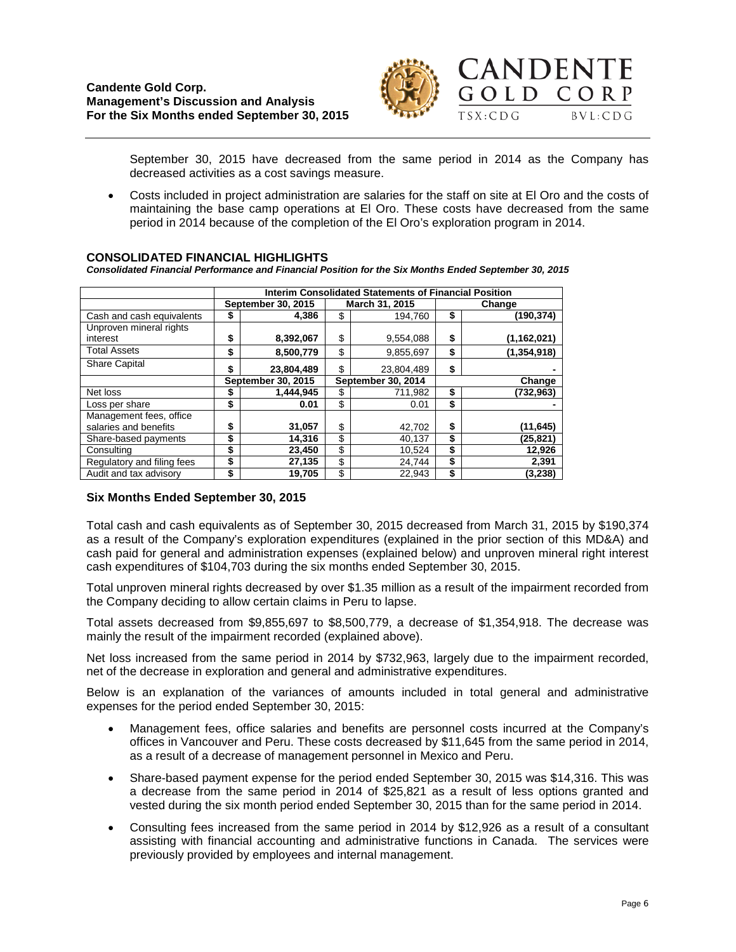

September 30, 2015 have decreased from the same period in 2014 as the Company has decreased activities as a cost savings measure.

• Costs included in project administration are salaries for the staff on site at El Oro and the costs of maintaining the base camp operations at El Oro. These costs have decreased from the same period in 2014 because of the completion of the El Oro's exploration program in 2014.

# **CONSOLIDATED FINANCIAL HIGHLIGHTS**

*Consolidated Financial Performance and Financial Position for the Six Months Ended September 30, 2015*

|                            | <b>Interim Consolidated Statements of Financial Position</b> |                    |    |                    |        |               |  |  |
|----------------------------|--------------------------------------------------------------|--------------------|----|--------------------|--------|---------------|--|--|
|                            |                                                              | September 30, 2015 |    | March 31, 2015     | Change |               |  |  |
| Cash and cash equivalents  | \$                                                           | 4.386              |    | \$<br>194.760      |        | (190,374)     |  |  |
| Unproven mineral rights    |                                                              |                    |    |                    |        |               |  |  |
| interest                   | \$                                                           | 8,392,067          | \$ | 9,554,088          | \$     | (1, 162, 021) |  |  |
| <b>Total Assets</b>        | \$                                                           | 8,500,779          | \$ | 9,855,697          | \$     | (1, 354, 918) |  |  |
| <b>Share Capital</b>       | \$                                                           | 23,804,489         | \$ | 23.804.489         | \$     |               |  |  |
|                            | September 30, 2015                                           |                    |    | September 30, 2014 | Change |               |  |  |
| Net loss                   | S                                                            | 1,444,945          | \$ | 711,982            | \$     | (732,963)     |  |  |
| Loss per share             | \$                                                           | 0.01               | \$ | 0.01               | \$     |               |  |  |
| Management fees, office    |                                                              |                    |    |                    |        |               |  |  |
| salaries and benefits      | \$                                                           | 31,057             | \$ | 42,702             | \$     | (11, 645)     |  |  |
| Share-based payments       | \$                                                           | 14,316             | \$ | 40,137             | \$     | (25, 821)     |  |  |
| Consulting                 | \$                                                           | 23,450             | \$ | 10,524             | \$     | 12,926        |  |  |
| Regulatory and filing fees | \$                                                           | 27,135             | \$ | 24,744             | \$     | 2,391         |  |  |
| Audit and tax advisory     | \$                                                           | 19,705             | \$ | 22,943             | \$     | (3,238)       |  |  |

## **Six Months Ended September 30, 2015**

Total cash and cash equivalents as of September 30, 2015 decreased from March 31, 2015 by \$190,374 as a result of the Company's exploration expenditures (explained in the prior section of this MD&A) and cash paid for general and administration expenses (explained below) and unproven mineral right interest cash expenditures of \$104,703 during the six months ended September 30, 2015.

Total unproven mineral rights decreased by over \$1.35 million as a result of the impairment recorded from the Company deciding to allow certain claims in Peru to lapse.

Total assets decreased from \$9,855,697 to \$8,500,779, a decrease of \$1,354,918. The decrease was mainly the result of the impairment recorded (explained above).

Net loss increased from the same period in 2014 by \$732,963, largely due to the impairment recorded, net of the decrease in exploration and general and administrative expenditures.

Below is an explanation of the variances of amounts included in total general and administrative expenses for the period ended September 30, 2015:

- Management fees, office salaries and benefits are personnel costs incurred at the Company's offices in Vancouver and Peru. These costs decreased by \$11,645 from the same period in 2014, as a result of a decrease of management personnel in Mexico and Peru.
- Share-based payment expense for the period ended September 30, 2015 was \$14,316. This was a decrease from the same period in 2014 of \$25,821 as a result of less options granted and vested during the six month period ended September 30, 2015 than for the same period in 2014.
- Consulting fees increased from the same period in 2014 by \$12,926 as a result of a consultant assisting with financial accounting and administrative functions in Canada. The services were previously provided by employees and internal management.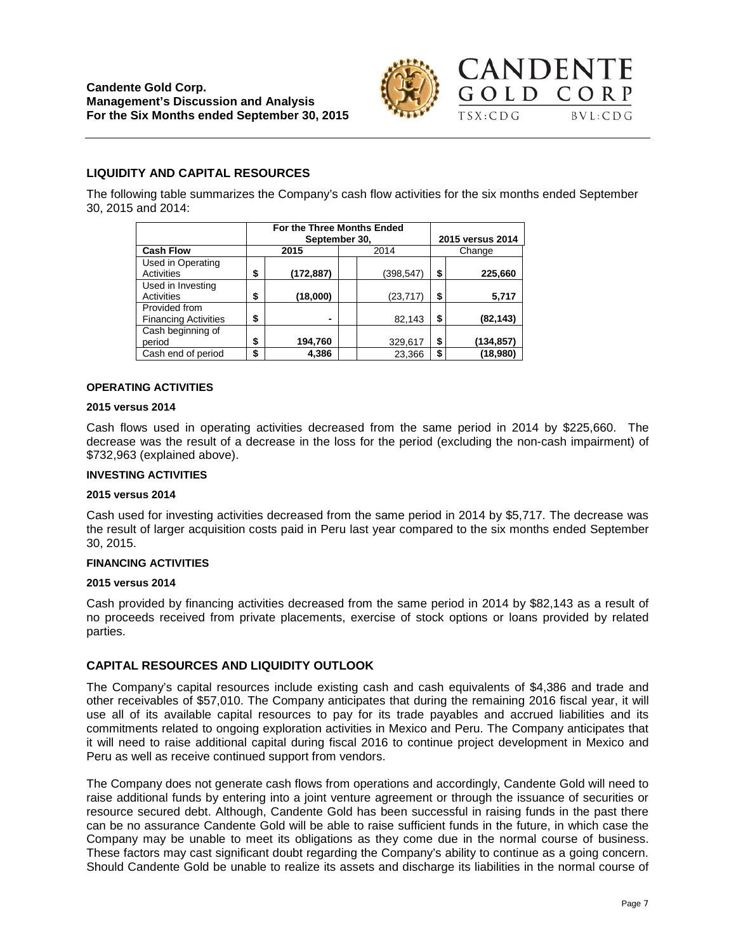

# **LIQUIDITY AND CAPITAL RESOURCES**

The following table summarizes the Company's cash flow activities for the six months ended September 30, 2015 and 2014:

|                                              | For the Three Months Ended<br>September 30, |           | 2015 versus 2014 |           |  |
|----------------------------------------------|---------------------------------------------|-----------|------------------|-----------|--|
| <b>Cash Flow</b>                             | 2015                                        | 2014      | Change           |           |  |
| Used in Operating<br>Activities              | \$<br>(172, 887)                            | (398,547) | \$               | 225,660   |  |
| Used in Investing<br><b>Activities</b>       | \$<br>(18,000)                              | (23, 717) | \$               | 5,717     |  |
| Provided from<br><b>Financing Activities</b> | \$                                          | 82,143    | \$               | (82, 143) |  |
| Cash beginning of<br>period                  | \$<br>194,760                               | 329,617   | \$               | (134,857) |  |
| Cash end of period                           | \$<br>4,386                                 | 23.366    | \$               | (18,980)  |  |

#### **OPERATING ACTIVITIES**

#### **2015 versus 2014**

Cash flows used in operating activities decreased from the same period in 2014 by \$225,660. The decrease was the result of a decrease in the loss for the period (excluding the non-cash impairment) of \$732,963 (explained above).

#### **INVESTING ACTIVITIES**

#### **2015 versus 2014**

Cash used for investing activities decreased from the same period in 2014 by \$5,717. The decrease was the result of larger acquisition costs paid in Peru last year compared to the six months ended September 30, 2015.

#### **FINANCING ACTIVITIES**

#### **2015 versus 2014**

Cash provided by financing activities decreased from the same period in 2014 by \$82,143 as a result of no proceeds received from private placements, exercise of stock options or loans provided by related parties.

## **CAPITAL RESOURCES AND LIQUIDITY OUTLOOK**

The Company's capital resources include existing cash and cash equivalents of \$4,386 and trade and other receivables of \$57,010. The Company anticipates that during the remaining 2016 fiscal year, it will use all of its available capital resources to pay for its trade payables and accrued liabilities and its commitments related to ongoing exploration activities in Mexico and Peru. The Company anticipates that it will need to raise additional capital during fiscal 2016 to continue project development in Mexico and Peru as well as receive continued support from vendors.

The Company does not generate cash flows from operations and accordingly, Candente Gold will need to raise additional funds by entering into a joint venture agreement or through the issuance of securities or resource secured debt. Although, Candente Gold has been successful in raising funds in the past there can be no assurance Candente Gold will be able to raise sufficient funds in the future, in which case the Company may be unable to meet its obligations as they come due in the normal course of business. These factors may cast significant doubt regarding the Company's ability to continue as a going concern. Should Candente Gold be unable to realize its assets and discharge its liabilities in the normal course of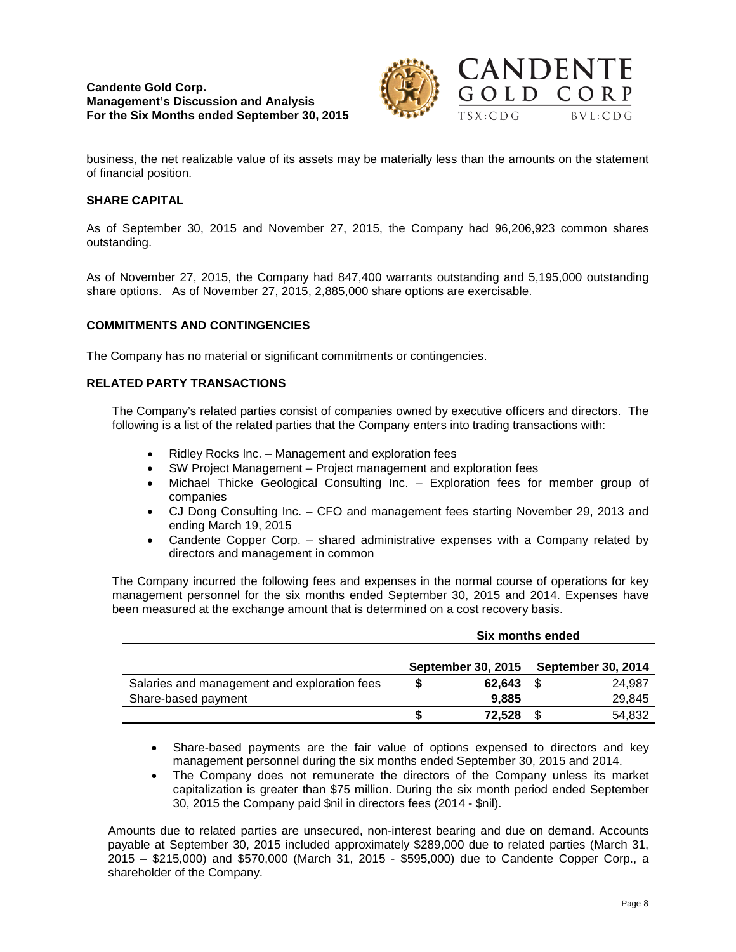

business, the net realizable value of its assets may be materially less than the amounts on the statement of financial position.

## **SHARE CAPITAL**

As of September 30, 2015 and November 27, 2015, the Company had 96,206,923 common shares outstanding.

As of November 27, 2015, the Company had 847,400 warrants outstanding and 5,195,000 outstanding share options. As of November 27, 2015, 2,885,000 share options are exercisable.

# **COMMITMENTS AND CONTINGENCIES**

The Company has no material or significant commitments or contingencies.

# **RELATED PARTY TRANSACTIONS**

The Company's related parties consist of companies owned by executive officers and directors. The following is a list of the related parties that the Company enters into trading transactions with:

- Ridley Rocks Inc. Management and exploration fees
- SW Project Management Project management and exploration fees
- Michael Thicke Geological Consulting Inc. Exploration fees for member group of companies
- CJ Dong Consulting Inc. CFO and management fees starting November 29, 2013 and ending March 19, 2015
- Candente Copper Corp. shared administrative expenses with a Company related by directors and management in common

The Company incurred the following fees and expenses in the normal course of operations for key management personnel for the six months ended September 30, 2015 and 2014. Expenses have been measured at the exchange amount that is determined on a cost recovery basis.

|                                              | Six months ended |                           |                           |        |
|----------------------------------------------|------------------|---------------------------|---------------------------|--------|
|                                              |                  |                           | <b>September 30, 2014</b> |        |
|                                              |                  | <b>September 30, 2015</b> |                           |        |
| Salaries and management and exploration fees |                  | 62.643                    | - \$                      | 24.987 |
| Share-based payment                          |                  | 9.885                     |                           | 29,845 |
|                                              |                  | 72.528                    | S                         | 54,832 |

- Share-based payments are the fair value of options expensed to directors and key management personnel during the six months ended September 30, 2015 and 2014.
- The Company does not remunerate the directors of the Company unless its market capitalization is greater than \$75 million. During the six month period ended September 30, 2015 the Company paid \$nil in directors fees (2014 - \$nil).

Amounts due to related parties are unsecured, non-interest bearing and due on demand. Accounts payable at September 30, 2015 included approximately \$289,000 due to related parties (March 31, 2015 – \$215,000) and \$570,000 (March 31, 2015 - \$595,000) due to Candente Copper Corp., a shareholder of the Company.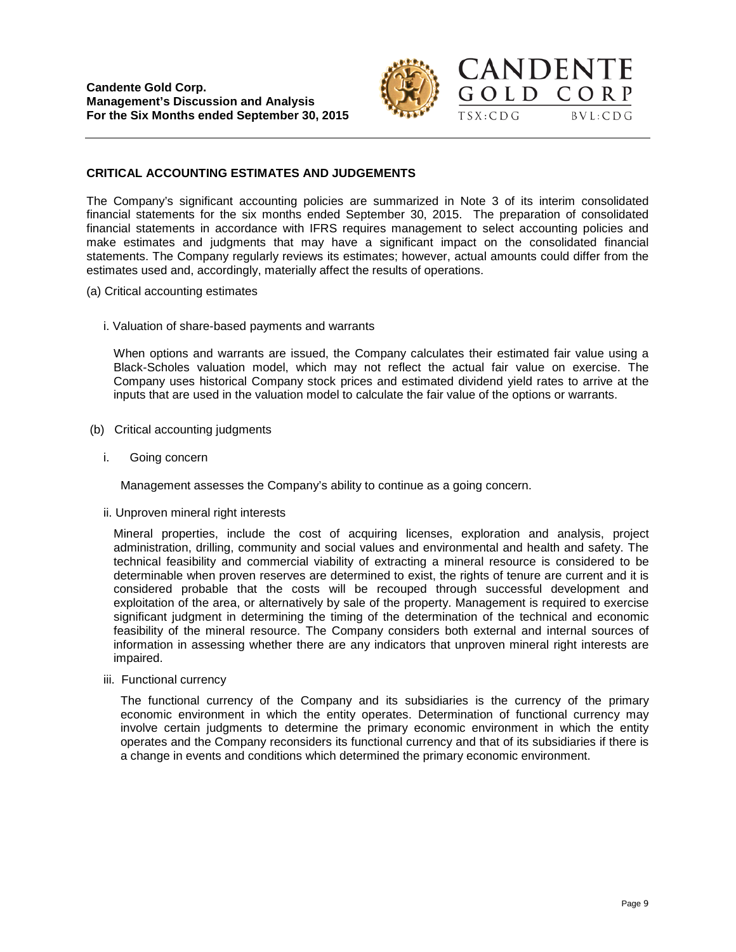

 $BVL:CDG$ 

#### **CRITICAL ACCOUNTING ESTIMATES AND JUDGEMENTS**

The Company's significant accounting policies are summarized in Note 3 of its interim consolidated financial statements for the six months ended September 30, 2015. The preparation of consolidated financial statements in accordance with IFRS requires management to select accounting policies and make estimates and judgments that may have a significant impact on the consolidated financial statements. The Company regularly reviews its estimates; however, actual amounts could differ from the estimates used and, accordingly, materially affect the results of operations.

- (a) Critical accounting estimates
	- i. Valuation of share-based payments and warrants

When options and warrants are issued, the Company calculates their estimated fair value using a Black-Scholes valuation model, which may not reflect the actual fair value on exercise. The Company uses historical Company stock prices and estimated dividend yield rates to arrive at the inputs that are used in the valuation model to calculate the fair value of the options or warrants.

- (b) Critical accounting judgments
	- i. Going concern

Management assesses the Company's ability to continue as a going concern.

ii. Unproven mineral right interests

Mineral properties, include the cost of acquiring licenses, exploration and analysis, project administration, drilling, community and social values and environmental and health and safety. The technical feasibility and commercial viability of extracting a mineral resource is considered to be determinable when proven reserves are determined to exist, the rights of tenure are current and it is considered probable that the costs will be recouped through successful development and exploitation of the area, or alternatively by sale of the property. Management is required to exercise significant judgment in determining the timing of the determination of the technical and economic feasibility of the mineral resource. The Company considers both external and internal sources of information in assessing whether there are any indicators that unproven mineral right interests are impaired.

iii. Functional currency

The functional currency of the Company and its subsidiaries is the currency of the primary economic environment in which the entity operates. Determination of functional currency may involve certain judgments to determine the primary economic environment in which the entity operates and the Company reconsiders its functional currency and that of its subsidiaries if there is a change in events and conditions which determined the primary economic environment.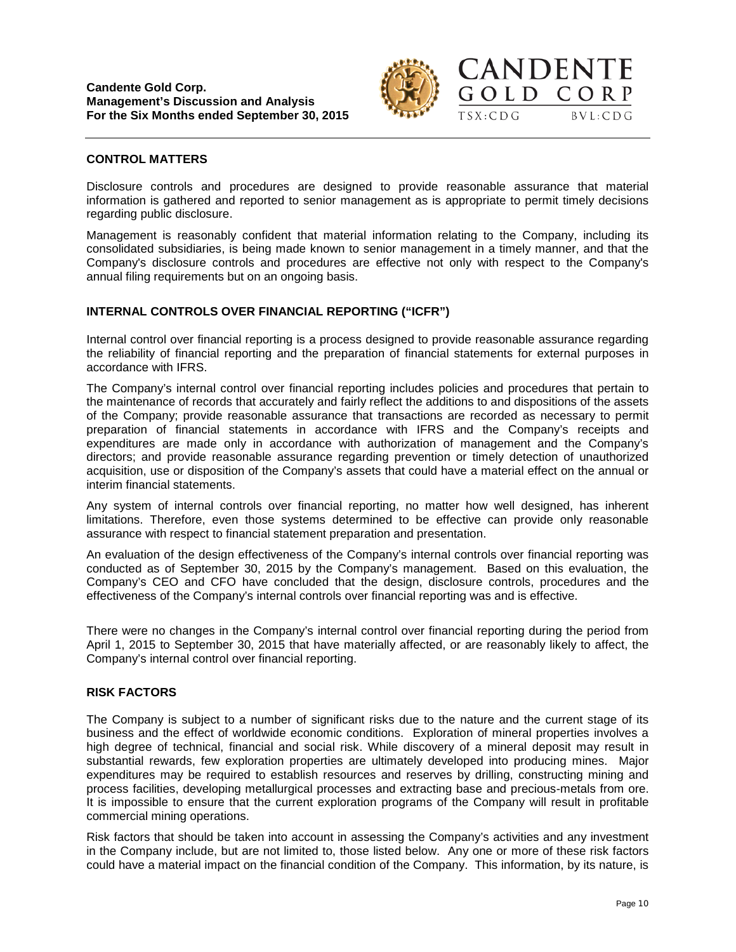

**CANDENTE** 

GOLD CORP

 $TSX:CDG$ 

 $BVL:CDG$ 

# **CONTROL MATTERS**

Disclosure controls and procedures are designed to provide reasonable assurance that material information is gathered and reported to senior management as is appropriate to permit timely decisions regarding public disclosure.

Management is reasonably confident that material information relating to the Company, including its consolidated subsidiaries, is being made known to senior management in a timely manner, and that the Company's disclosure controls and procedures are effective not only with respect to the Company's annual filing requirements but on an ongoing basis.

# **INTERNAL CONTROLS OVER FINANCIAL REPORTING ("ICFR")**

Internal control over financial reporting is a process designed to provide reasonable assurance regarding the reliability of financial reporting and the preparation of financial statements for external purposes in accordance with IFRS.

The Company's internal control over financial reporting includes policies and procedures that pertain to the maintenance of records that accurately and fairly reflect the additions to and dispositions of the assets of the Company; provide reasonable assurance that transactions are recorded as necessary to permit preparation of financial statements in accordance with IFRS and the Company's receipts and expenditures are made only in accordance with authorization of management and the Company's directors; and provide reasonable assurance regarding prevention or timely detection of unauthorized acquisition, use or disposition of the Company's assets that could have a material effect on the annual or interim financial statements.

Any system of internal controls over financial reporting, no matter how well designed, has inherent limitations. Therefore, even those systems determined to be effective can provide only reasonable assurance with respect to financial statement preparation and presentation.

An evaluation of the design effectiveness of the Company's internal controls over financial reporting was conducted as of September 30, 2015 by the Company's management. Based on this evaluation, the Company's CEO and CFO have concluded that the design, disclosure controls, procedures and the effectiveness of the Company's internal controls over financial reporting was and is effective.

There were no changes in the Company's internal control over financial reporting during the period from April 1, 2015 to September 30, 2015 that have materially affected, or are reasonably likely to affect, the Company's internal control over financial reporting.

## **RISK FACTORS**

The Company is subject to a number of significant risks due to the nature and the current stage of its business and the effect of worldwide economic conditions. Exploration of mineral properties involves a high degree of technical, financial and social risk. While discovery of a mineral deposit may result in substantial rewards, few exploration properties are ultimately developed into producing mines. Major expenditures may be required to establish resources and reserves by drilling, constructing mining and process facilities, developing metallurgical processes and extracting base and precious-metals from ore. It is impossible to ensure that the current exploration programs of the Company will result in profitable commercial mining operations.

Risk factors that should be taken into account in assessing the Company's activities and any investment in the Company include, but are not limited to, those listed below. Any one or more of these risk factors could have a material impact on the financial condition of the Company. This information, by its nature, is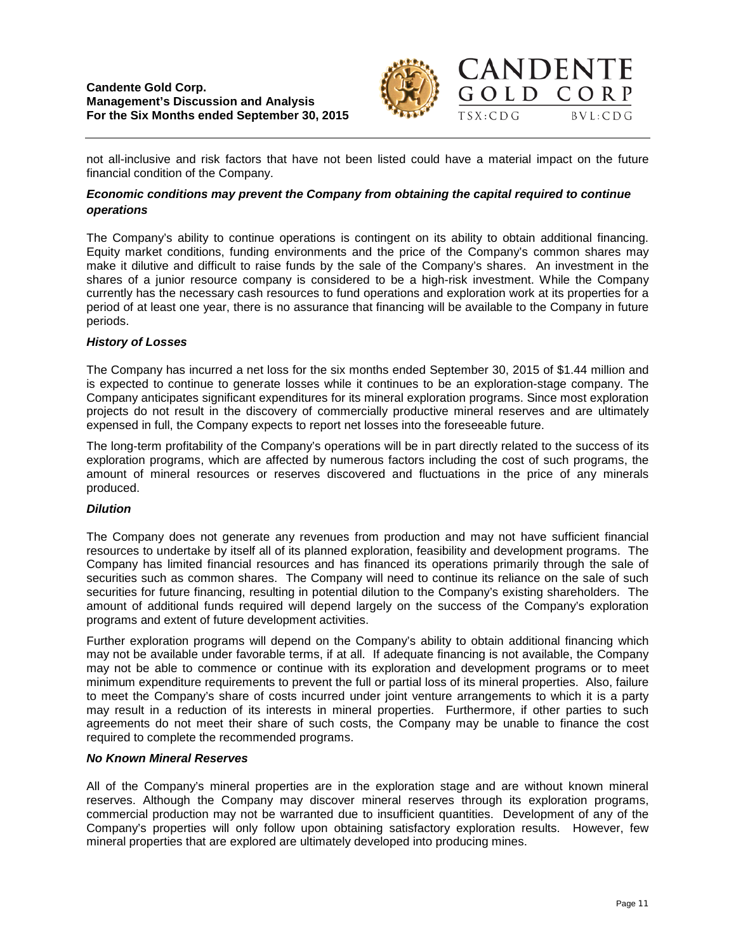

not all-inclusive and risk factors that have not been listed could have a material impact on the future financial condition of the Company.

# *Economic conditions may prevent the Company from obtaining the capital required to continue operations*

The Company's ability to continue operations is contingent on its ability to obtain additional financing. Equity market conditions, funding environments and the price of the Company's common shares may make it dilutive and difficult to raise funds by the sale of the Company's shares. An investment in the shares of a junior resource company is considered to be a high-risk investment. While the Company currently has the necessary cash resources to fund operations and exploration work at its properties for a period of at least one year, there is no assurance that financing will be available to the Company in future periods.

## *History of Losses*

The Company has incurred a net loss for the six months ended September 30, 2015 of \$1.44 million and is expected to continue to generate losses while it continues to be an exploration-stage company. The Company anticipates significant expenditures for its mineral exploration programs. Since most exploration projects do not result in the discovery of commercially productive mineral reserves and are ultimately expensed in full, the Company expects to report net losses into the foreseeable future.

The long-term profitability of the Company's operations will be in part directly related to the success of its exploration programs, which are affected by numerous factors including the cost of such programs, the amount of mineral resources or reserves discovered and fluctuations in the price of any minerals produced.

## *Dilution*

The Company does not generate any revenues from production and may not have sufficient financial resources to undertake by itself all of its planned exploration, feasibility and development programs. The Company has limited financial resources and has financed its operations primarily through the sale of securities such as common shares. The Company will need to continue its reliance on the sale of such securities for future financing, resulting in potential dilution to the Company's existing shareholders. The amount of additional funds required will depend largely on the success of the Company's exploration programs and extent of future development activities.

Further exploration programs will depend on the Company's ability to obtain additional financing which may not be available under favorable terms, if at all. If adequate financing is not available, the Company may not be able to commence or continue with its exploration and development programs or to meet minimum expenditure requirements to prevent the full or partial loss of its mineral properties. Also, failure to meet the Company's share of costs incurred under joint venture arrangements to which it is a party may result in a reduction of its interests in mineral properties. Furthermore, if other parties to such agreements do not meet their share of such costs, the Company may be unable to finance the cost required to complete the recommended programs.

#### *No Known Mineral Reserves*

All of the Company's mineral properties are in the exploration stage and are without known mineral reserves. Although the Company may discover mineral reserves through its exploration programs, commercial production may not be warranted due to insufficient quantities. Development of any of the Company's properties will only follow upon obtaining satisfactory exploration results. However, few mineral properties that are explored are ultimately developed into producing mines.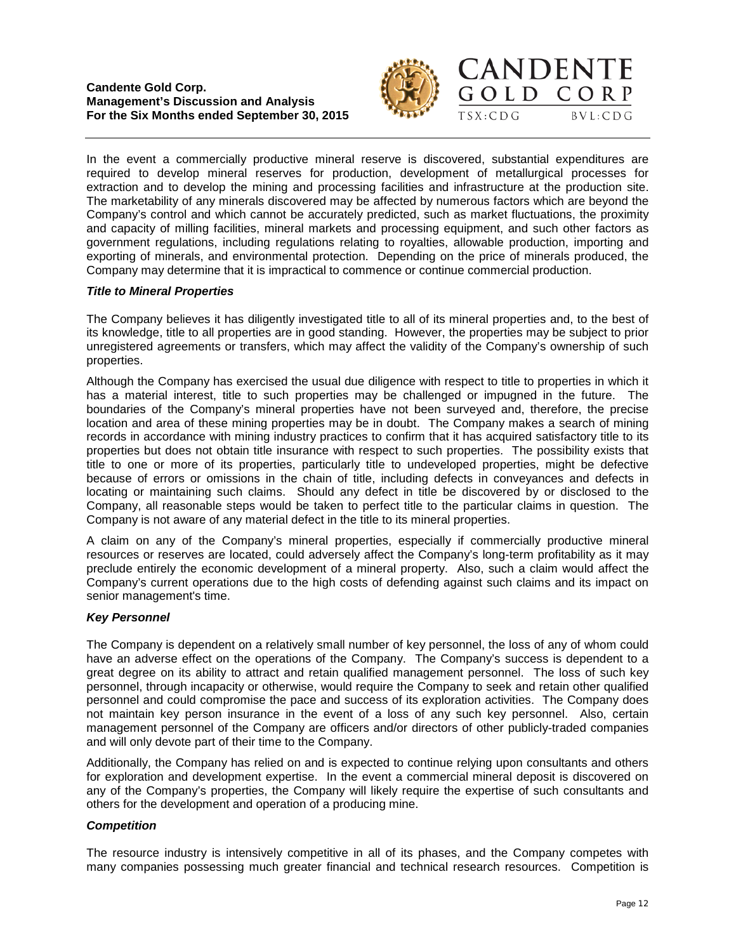

CANDENTE

GOLD CORP

 $TSX:CDG$ 

 $BVL:CDG$ 



## *Title to Mineral Properties*

The Company believes it has diligently investigated title to all of its mineral properties and, to the best of its knowledge, title to all properties are in good standing. However, the properties may be subject to prior unregistered agreements or transfers, which may affect the validity of the Company's ownership of such properties.

Company may determine that it is impractical to commence or continue commercial production.

Although the Company has exercised the usual due diligence with respect to title to properties in which it has a material interest, title to such properties may be challenged or impugned in the future. The boundaries of the Company's mineral properties have not been surveyed and, therefore, the precise location and area of these mining properties may be in doubt. The Company makes a search of mining records in accordance with mining industry practices to confirm that it has acquired satisfactory title to its properties but does not obtain title insurance with respect to such properties. The possibility exists that title to one or more of its properties, particularly title to undeveloped properties, might be defective because of errors or omissions in the chain of title, including defects in conveyances and defects in locating or maintaining such claims. Should any defect in title be discovered by or disclosed to the Company, all reasonable steps would be taken to perfect title to the particular claims in question. The Company is not aware of any material defect in the title to its mineral properties.

A claim on any of the Company's mineral properties, especially if commercially productive mineral resources or reserves are located, could adversely affect the Company's long-term profitability as it may preclude entirely the economic development of a mineral property. Also, such a claim would affect the Company's current operations due to the high costs of defending against such claims and its impact on senior management's time.

## *Key Personnel*

The Company is dependent on a relatively small number of key personnel, the loss of any of whom could have an adverse effect on the operations of the Company. The Company's success is dependent to a great degree on its ability to attract and retain qualified management personnel. The loss of such key personnel, through incapacity or otherwise, would require the Company to seek and retain other qualified personnel and could compromise the pace and success of its exploration activities. The Company does not maintain key person insurance in the event of a loss of any such key personnel. Also, certain management personnel of the Company are officers and/or directors of other publicly-traded companies and will only devote part of their time to the Company.

Additionally, the Company has relied on and is expected to continue relying upon consultants and others for exploration and development expertise. In the event a commercial mineral deposit is discovered on any of the Company's properties, the Company will likely require the expertise of such consultants and others for the development and operation of a producing mine.

## *Competition*

The resource industry is intensively competitive in all of its phases, and the Company competes with many companies possessing much greater financial and technical research resources. Competition is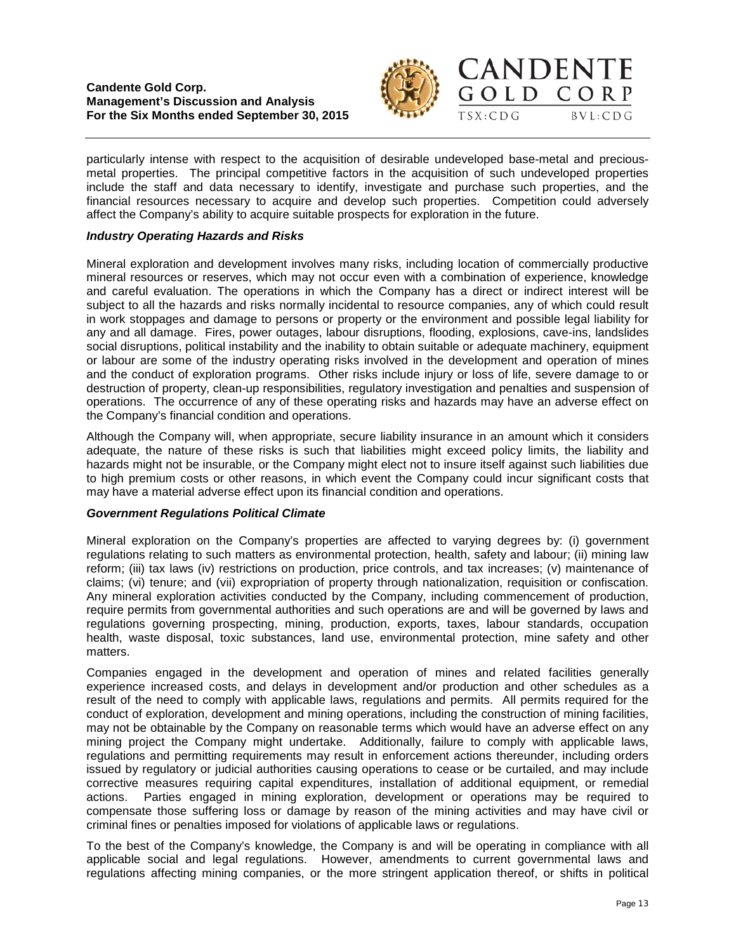



particularly intense with respect to the acquisition of desirable undeveloped base-metal and preciousmetal properties. The principal competitive factors in the acquisition of such undeveloped properties include the staff and data necessary to identify, investigate and purchase such properties, and the financial resources necessary to acquire and develop such properties. Competition could adversely affect the Company's ability to acquire suitable prospects for exploration in the future.

# *Industry Operating Hazards and Risks*

Mineral exploration and development involves many risks, including location of commercially productive mineral resources or reserves, which may not occur even with a combination of experience, knowledge and careful evaluation. The operations in which the Company has a direct or indirect interest will be subject to all the hazards and risks normally incidental to resource companies, any of which could result in work stoppages and damage to persons or property or the environment and possible legal liability for any and all damage. Fires, power outages, labour disruptions, flooding, explosions, cave-ins, landslides social disruptions, political instability and the inability to obtain suitable or adequate machinery, equipment or labour are some of the industry operating risks involved in the development and operation of mines and the conduct of exploration programs. Other risks include injury or loss of life, severe damage to or destruction of property, clean-up responsibilities, regulatory investigation and penalties and suspension of operations. The occurrence of any of these operating risks and hazards may have an adverse effect on the Company's financial condition and operations.

Although the Company will, when appropriate, secure liability insurance in an amount which it considers adequate, the nature of these risks is such that liabilities might exceed policy limits, the liability and hazards might not be insurable, or the Company might elect not to insure itself against such liabilities due to high premium costs or other reasons, in which event the Company could incur significant costs that may have a material adverse effect upon its financial condition and operations.

## *Government Regulations Political Climate*

Mineral exploration on the Company's properties are affected to varying degrees by: (i) government regulations relating to such matters as environmental protection, health, safety and labour; (ii) mining law reform; (iii) tax laws (iv) restrictions on production, price controls, and tax increases; (v) maintenance of claims; (vi) tenure; and (vii) expropriation of property through nationalization, requisition or confiscation. Any mineral exploration activities conducted by the Company, including commencement of production, require permits from governmental authorities and such operations are and will be governed by laws and regulations governing prospecting, mining, production, exports, taxes, labour standards, occupation health, waste disposal, toxic substances, land use, environmental protection, mine safety and other matters.

Companies engaged in the development and operation of mines and related facilities generally experience increased costs, and delays in development and/or production and other schedules as a result of the need to comply with applicable laws, regulations and permits. All permits required for the conduct of exploration, development and mining operations, including the construction of mining facilities, may not be obtainable by the Company on reasonable terms which would have an adverse effect on any mining project the Company might undertake. Additionally, failure to comply with applicable laws, regulations and permitting requirements may result in enforcement actions thereunder, including orders issued by regulatory or judicial authorities causing operations to cease or be curtailed, and may include corrective measures requiring capital expenditures, installation of additional equipment, or remedial actions. Parties engaged in mining exploration, development or operations may be required to compensate those suffering loss or damage by reason of the mining activities and may have civil or criminal fines or penalties imposed for violations of applicable laws or regulations.

To the best of the Company's knowledge, the Company is and will be operating in compliance with all applicable social and legal regulations. However, amendments to current governmental laws and regulations affecting mining companies, or the more stringent application thereof, or shifts in political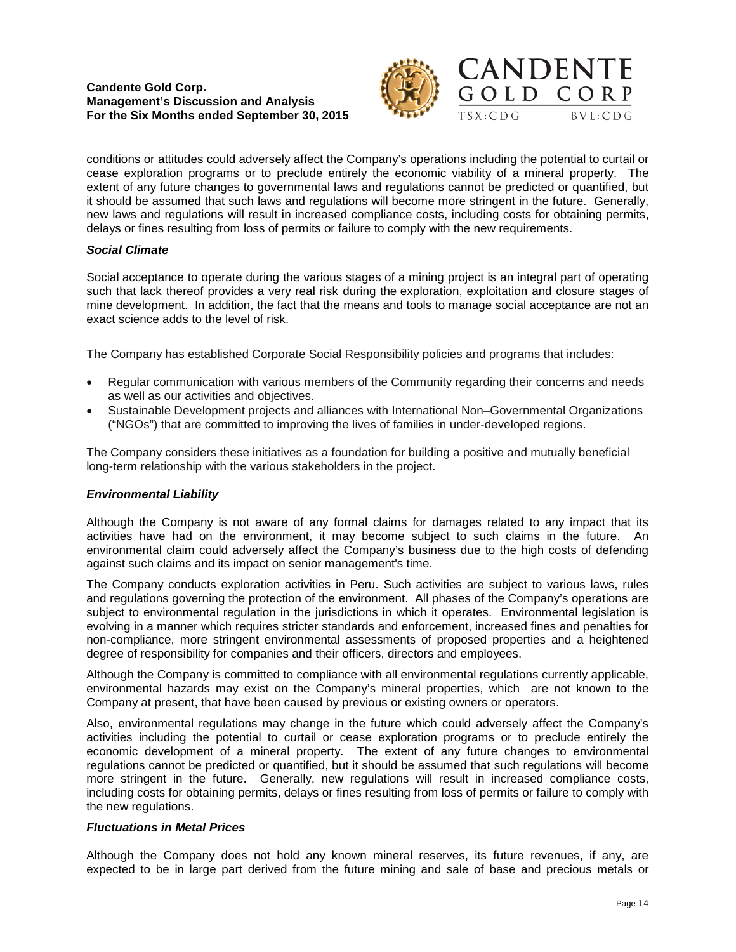



conditions or attitudes could adversely affect the Company's operations including the potential to curtail or cease exploration programs or to preclude entirely the economic viability of a mineral property. The extent of any future changes to governmental laws and regulations cannot be predicted or quantified, but it should be assumed that such laws and regulations will become more stringent in the future. Generally, new laws and regulations will result in increased compliance costs, including costs for obtaining permits, delays or fines resulting from loss of permits or failure to comply with the new requirements.

# *Social Climate*

Social acceptance to operate during the various stages of a mining project is an integral part of operating such that lack thereof provides a very real risk during the exploration, exploitation and closure stages of mine development. In addition, the fact that the means and tools to manage social acceptance are not an exact science adds to the level of risk.

The Company has established Corporate Social Responsibility policies and programs that includes:

- Regular communication with various members of the Community regarding their concerns and needs as well as our activities and objectives.
- Sustainable Development projects and alliances with International Non–Governmental Organizations ("NGOs") that are committed to improving the lives of families in under-developed regions.

The Company considers these initiatives as a foundation for building a positive and mutually beneficial long-term relationship with the various stakeholders in the project.

# *Environmental Liability*

Although the Company is not aware of any formal claims for damages related to any impact that its activities have had on the environment, it may become subject to such claims in the future. An environmental claim could adversely affect the Company's business due to the high costs of defending against such claims and its impact on senior management's time.

The Company conducts exploration activities in Peru. Such activities are subject to various laws, rules and regulations governing the protection of the environment. All phases of the Company's operations are subject to environmental regulation in the jurisdictions in which it operates. Environmental legislation is evolving in a manner which requires stricter standards and enforcement, increased fines and penalties for non-compliance, more stringent environmental assessments of proposed properties and a heightened degree of responsibility for companies and their officers, directors and employees.

Although the Company is committed to compliance with all environmental regulations currently applicable, environmental hazards may exist on the Company's mineral properties, which are not known to the Company at present, that have been caused by previous or existing owners or operators.

Also, environmental regulations may change in the future which could adversely affect the Company's activities including the potential to curtail or cease exploration programs or to preclude entirely the economic development of a mineral property. The extent of any future changes to environmental regulations cannot be predicted or quantified, but it should be assumed that such regulations will become more stringent in the future. Generally, new regulations will result in increased compliance costs, including costs for obtaining permits, delays or fines resulting from loss of permits or failure to comply with the new regulations.

## *Fluctuations in Metal Prices*

Although the Company does not hold any known mineral reserves, its future revenues, if any, are expected to be in large part derived from the future mining and sale of base and precious metals or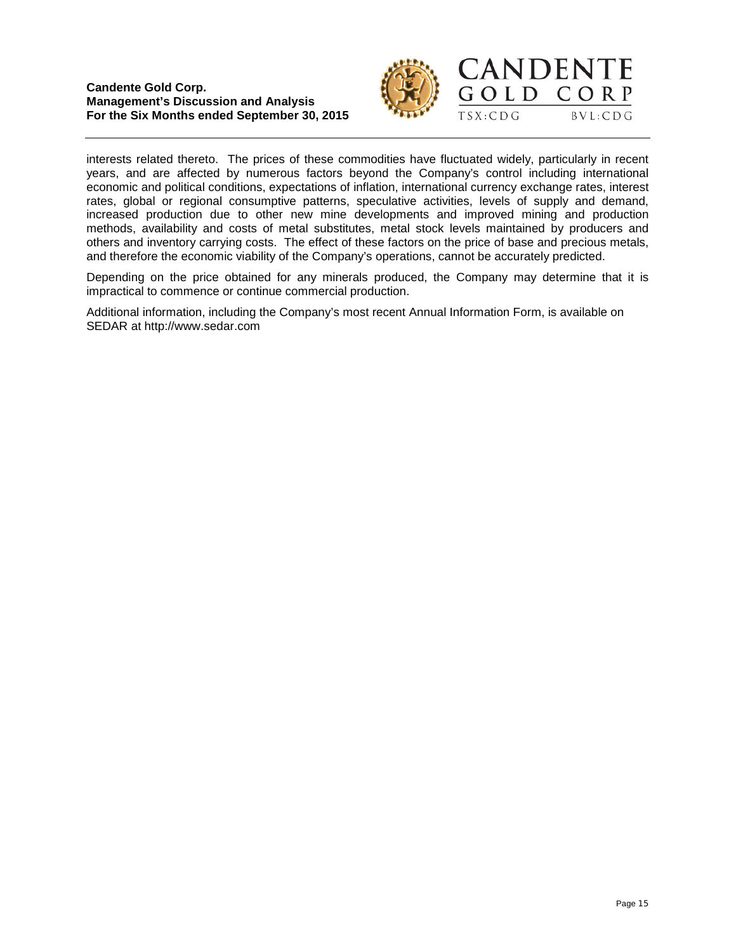



interests related thereto. The prices of these commodities have fluctuated widely, particularly in recent years, and are affected by numerous factors beyond the Company's control including international economic and political conditions, expectations of inflation, international currency exchange rates, interest rates, global or regional consumptive patterns, speculative activities, levels of supply and demand, increased production due to other new mine developments and improved mining and production methods, availability and costs of metal substitutes, metal stock levels maintained by producers and others and inventory carrying costs. The effect of these factors on the price of base and precious metals, and therefore the economic viability of the Company's operations, cannot be accurately predicted.

Depending on the price obtained for any minerals produced, the Company may determine that it is impractical to commence or continue commercial production.

Additional information, including the Company's most recent Annual Information Form, is available on SEDAR at [http://www.sedar.com](http://www.sedar.com/)